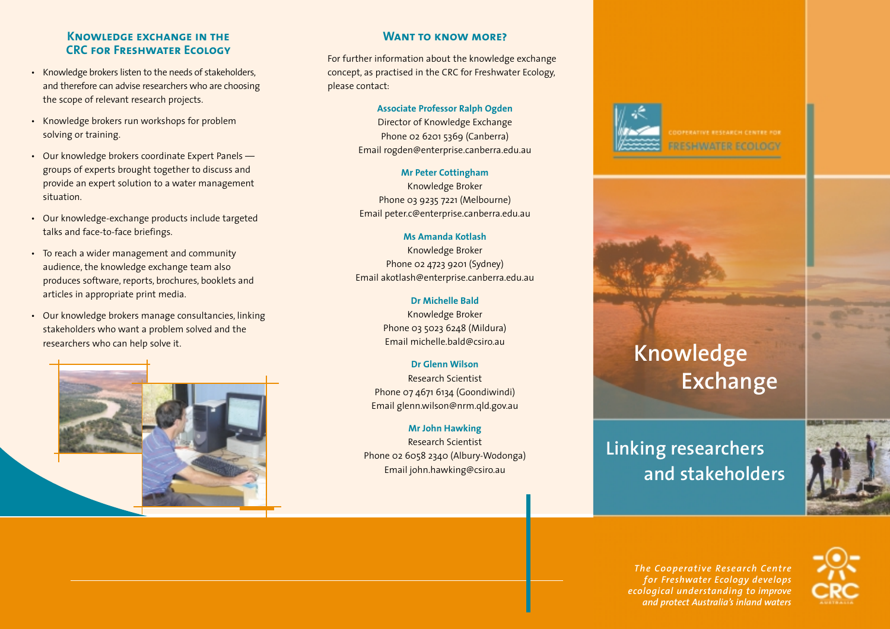# **Knowledge exchange in the CRC for Freshwater Ecology**

- Knowledge brokers listen to the needs of stakeholders, and therefore can advise researchers who are choosing the scope of relevant research projects.
- Knowledge brokers run workshops for problem solving or training.
- Our knowledge brokers coordinate Expert Panels groups of experts brought together to discuss and provide an expert solution to a water management situation.
- Our knowledge-exchange products include targeted talks and face-to-face briefings.
- To reach a wider management and community audience, the knowledge exchange team also produces software, reports, brochures, booklets and articles in appropriate print media.
- Our knowledge brokers manage consultancies, linking stakeholders who want a problem solved and the researchers who can help solve it.



### **Want to know more?**

For further information about the knowledge exchange concept, as practised in the CRC for Freshwater Ecology, please contact:

### **Associate Professor Ralph Ogden**

Director of Knowledge Exchange Phone 02 6201 5369 (Canberra) Email rogden@enterprise.canberra.edu.au

**Mr Peter Cottingham** Knowledge Broker Phone 03 9235 7221 (Melbourne) Email peter.c@enterprise.canberra.edu.au

### **Ms Amanda Kotlash**

Knowledge Broker Phone 02 4723 9201 (Sydney) Email akotlash@enterprise.canberra.edu.au

#### **Dr Michelle Bald**

Knowledge Broker Phone 03 5023 6248 (Mildura) Email michelle.bald@csiro.au

## **Dr Glenn Wilson** Research Scientist Phone 07 4671 6134 (Goondiwindi) Email glenn.wilson@nrm.qld.gov.au

**Mr John Hawking** Research Scientist Phone 02 6058 2340 (Albury-Wodonga) Email john.hawking@csiro.au



# **Knowledge Exchange**

# **Linking researchers and stakeholders**



*The Cooperative Research Centre for Freshwater Ecology develops ecological understanding to improve and protect Australia's inland waters*